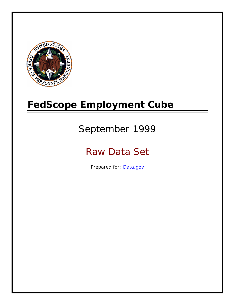

# **FedScope Employment Cube**

# September 1999

# Raw Data Set

Prepared for: [Data.gov](http://www.data.gov/)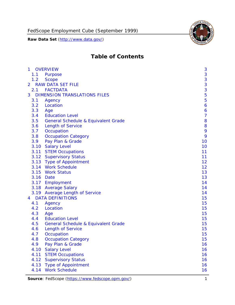

# **Table of Contents**

| $\mathbf{1}$ | <b>OVERVIEW</b>                                | 3              |
|--------------|------------------------------------------------|----------------|
| 1.1          | Purpose                                        | 3              |
| 1.2          | <b>Scope</b>                                   | 3              |
| 2            | <b>RAW DATA SET FILE</b>                       | 3              |
| 2.1          | <b>FACTDATA</b>                                | 3              |
| 3            | <b>DIMENSION TRANSLATIONS FILES</b>            | 5              |
| 3.1          | Agency                                         | 5              |
| 3.2          | Location                                       | 6              |
| 3.3          | Age                                            | 6              |
| 3.4          | <b>Education Level</b>                         | $\overline{7}$ |
| 3.5          | <b>General Schedule &amp; Equivalent Grade</b> | 8              |
| 3.6          | <b>Length of Service</b>                       | 8              |
| 3.7          | Occupation                                     | 9              |
| 3.8          | <b>Occupation Category</b>                     | 9              |
| 3.9          | Pay Plan & Grade                               | 10             |
| 3.10         | <b>Salary Level</b>                            | 10             |
|              | 3.11 STEM Occupations                          | 11             |
|              | 3.12 Supervisory Status                        | 11             |
|              | 3.13 Type of Appointment                       | 12             |
|              | 3.14 Work Schedule                             | 12             |
| 3.15         | <b>Work Status</b>                             | 13             |
|              | 3.16 Date                                      | 13             |
|              | 3.17 Employment                                | 14             |
|              | 3.18 Average Salary                            | 14             |
|              | 3.19 Average Length of Service                 | 14             |
| 4            | <b>DATA DEFINITIONS</b>                        | 15             |
| 4.1          | Agency                                         | 15             |
| 4.2          | Location                                       | 15             |
| 4.3          | Age                                            | 15             |
| 4.4          | <b>Education Level</b>                         | 15             |
| 4.5          | <b>General Schedule &amp; Equivalent Grade</b> | 15             |
| 4.6          | <b>Length of Service</b>                       | 15             |
| 4.7          | Occupation                                     | 15             |
| 4.8          | <b>Occupation Category</b>                     | 15             |
| 4.9          | Pay Plan & Grade                               | 16             |
| 4.10         | <b>Salary Level</b>                            | 16             |
| 4.11         | <b>STEM Occupations</b>                        | 16             |
| 4.12         | <b>Supervisory Status</b>                      | 16             |
| 4.13         | <b>Type of Appointment</b>                     | 16             |
| 4.14         | <b>Work Schedule</b>                           | 16             |

Source: FedScope (https://www.fedscope.opm.gov/) 1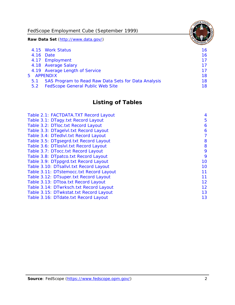FedScope Employment Cube (September 1999)

**Raw Data Set** (http://www.data.gov/)

|               | 4.15 Work Status                                    | 16 |
|---------------|-----------------------------------------------------|----|
|               | 4.16 Date                                           | 16 |
|               | 4.17 Employment                                     | 17 |
|               | 4.18 Average Salary                                 | 17 |
|               | 4.19 Average Length of Service                      | 17 |
|               | 5 APPENDIX                                          | 18 |
| 5.1           | SAS Program to Read Raw Data Sets for Data Analysis | 18 |
| $5.2^{\circ}$ | <b>FedScope General Public Web Site</b>             | 18 |

# **Listing of Tables**

| Table 2.1: FACTDATA.TXT Record Layout   | 4  |
|-----------------------------------------|----|
| Table 3.1: DTagy.txt Record Layout      | 5  |
| Table 3.2: DTloc.txt Record Layout      | 6  |
| Table 3.3: DTagelvl.txt Record Layout   | 6  |
| Table 3.4: DTedlvl.txt Record Layout    | 7  |
| Table 3.5: DTgsegrd.txt Record Layout   | 8  |
| Table 3.6: DTIoslyl.txt Record Layout   | 8  |
| Table 3.7: DTocc.txt Record Layout      | 9  |
| Table 3.8: DTpatco.txt Record Layout    | 9  |
| Table 3.9: DTppgrd.txt Record Layout    | 10 |
| Table 3.10: DTsallvl.txt Record Layout  | 10 |
| Table 3.11: DTstemocc.txt Record Layout | 11 |
| Table 3.12: DTsuper.txt Record Layout   | 11 |
| Table 3.13: DTtoa.txt Record Layout     | 12 |
| Table 3.14: DTwrksch.txt Record Layout  | 12 |
| Table 3.15: DTwkstat.txt Record Layout  | 13 |
| Table 3.16: DTdate.txt Record Layout    | 13 |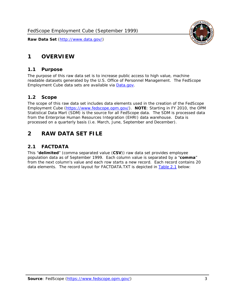<span id="page-3-0"></span>

#### *1.1 Purpose*

<span id="page-3-1"></span>The purpose of this raw data set is to increase public access to high value, machine readable datasets generated by the U.S. Office of Personnel Management. The FedScope Employment Cube data sets are available via [Data.gov](http://www.data.gov/).

## <span id="page-3-2"></span>*1.2 Scope*

The scope of this raw data set includes data elements used in the creation of the FedScope Employment Cube [\(https://www.fedscope.opm.gov/\)](https://www.fedscope.opm.gov/). **NOTE**: Starting in FY 2010, the OPM Statistical Data Mart (SDM) is the source for all FedScope data. The SDM is processed data from the Enterprise Human Resources Integration (EHRI) data warehouse. Data is processed on a quarterly basis (i.e. March, June, September and December).

# <span id="page-3-3"></span>**2 RAW DATA SET FILE**

## <span id="page-3-4"></span>*2.1 FACTDATA*

This "**delimited**" (comma separated value (**CSV**)) raw data set provides employee population data as of September 1999. Each column value is separated by a "**comma**" from the next column's value and each row starts a new record. Each record contains 20 data elements. The record layout for FACTDATA.TXT is depicted in [Table 2.1](#page-4-1) below:

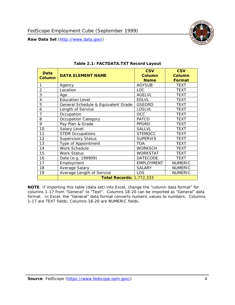<span id="page-4-1"></span><span id="page-4-0"></span>

**NOTE**: If importing this table (data set) into Excel, change the "column data format" for columns 1-17 from "General" to "Text". Columns 18-20 can be imported as "General" data format. In Excel, the "General" data format converts numeric values to numbers. Columns 1-17 are TEXT fields; Columns 18-20 are NUMERIC fields.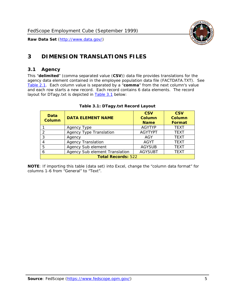

# <span id="page-5-0"></span>**3 DIMENSION TRANSLATIONS FILES**

#### <span id="page-5-1"></span>*3.1 Agency*

<span id="page-5-3"></span><span id="page-5-2"></span>This "**delimited**" (comma separated value (**CSV**)) data file provides translations for the agency data element contained in the employee population data file (FACTDATA.TXT). See [Table 2.1.](#page-4-1) Each column value is separated by a "**comma**" from the next column's value and each row starts a new record. Each record contains 6 data elements. The record layout for DTagy.txt is depicted in [Table 3.1](#page-5-3) below:

| Data<br>Column            | <b>DATA ELEMENT NAME</b>       | <b>CSV</b><br><b>Column</b><br><b>Name</b> | <b>CSV</b><br>Column<br><b>Format</b> |
|---------------------------|--------------------------------|--------------------------------------------|---------------------------------------|
|                           | Agency Type                    | <b>AGYTYP</b>                              | <b>TEXT</b>                           |
|                           | <b>Agency Type Translation</b> | <b>AGYTYPT</b>                             | <b>TEXT</b>                           |
| 3                         | Agency                         | AGY                                        | <b>TEXT</b>                           |
|                           | <b>Agency Translation</b>      | <b>AGYT</b>                                | <b>TEXT</b>                           |
| -5                        | Agency Sub element             | <b>AGYSUB</b>                              | <b>TEXT</b>                           |
|                           | Agency Sub element Translation | <b>AGYSUBT</b>                             | <b>TEXT</b>                           |
| <b>Total Records: 522</b> |                                |                                            |                                       |

#### **Table 3.1: DTagy.txt Record Layout**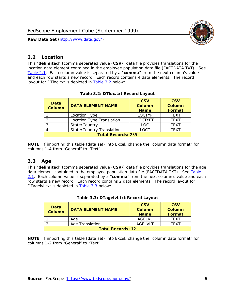

### <span id="page-6-0"></span>*3.2 Location*

<span id="page-6-4"></span><span id="page-6-2"></span>This "**delimited**" (comma separated value (**CSV**)) data file provides translations for the location data element contained in the employee population data file (FACTDATA.TXT). See [Table 2.1.](#page-4-1) Each column value is separated by a "**comma**" from the next column's value and each row starts a new record. Each record contains 4 data elements. The record layout for DTloc.txt is depicted in [Table 3.2](#page-6-4) below:

| Data<br><b>Column</b>     | <b>DATA ELEMENT NAME</b>         | <b>CSV</b><br>Column<br><b>Name</b> | <b>CSV</b><br><b>Column</b><br><b>Format</b> |
|---------------------------|----------------------------------|-------------------------------------|----------------------------------------------|
|                           | Location Type                    | <b>LOCTYP</b>                       | <b>TEXT</b>                                  |
|                           | Location Type Translation        | <b>LOCTYPT</b>                      | <b>TEXT</b>                                  |
| ົ                         | State/Country                    | <b>LOC</b>                          | <b>TFXT</b>                                  |
|                           | <b>State/Country Translation</b> | LOCT                                | <b>TFXT</b>                                  |
| <b>Total Records: 235</b> |                                  |                                     |                                              |

#### **Table 3.2: DTloc.txt Record Layout**

**NOTE**: If importing this table (data set) into Excel, change the "column data format" for columns 1-4 from "General" to "Text".

#### <span id="page-6-1"></span>*3.3 Age*

<span id="page-6-5"></span><span id="page-6-3"></span>This "**delimited**" (comma separated value (**CSV**)) data file provides translations for the age data element contained in the employee population data file (FACTDATA.TXT). See [Table](#page-4-1) [2.1](#page-4-1). Each column value is separated by a "**comma**" from the next column's value and each row starts a new record. Each record contains 2 data elements. The record layout for DTagelvl.txt is depicted in **[Table 3.3](#page-6-5)** below:

| Data<br>Column           | <b>DATA ELEMENT NAME</b> | <b>CSV</b><br>Column<br><b>Name</b> | <b>CSV</b><br>Column<br><b>Format</b> |
|--------------------------|--------------------------|-------------------------------------|---------------------------------------|
|                          | Aae                      | AGFI VI                             | TFXT                                  |
|                          | Age Translation          | AGFI VI T                           | TFXT                                  |
| <b>Total Records: 12</b> |                          |                                     |                                       |

#### **Table 3.3: DTagelvl.txt Record Layout**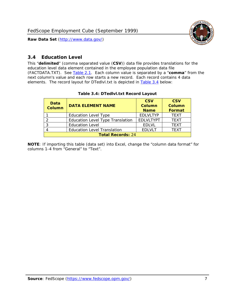

### <span id="page-7-0"></span>*3.4 Education Level*

<span id="page-7-2"></span><span id="page-7-1"></span>This "**delimited**" (comma separated value (**CSV**)) data file provides translations for the education level data element contained in the employee population data file (FACTDATA.TXT). See [Table 2.1](#page-4-1). Each column value is separated by a "**comma**" from the next column's value and each row starts a new record. Each record contains 4 data elements. The record layout for DTedlvl.txt is depicted in [Table 3.4](#page-7-2) below:

| Data<br><b>Column</b>    | <b>DATA ELEMENT NAME</b>                | <b>CSV</b><br><b>Column</b><br><b>Name</b> | <b>CSV</b><br><b>Column</b><br><b>Format</b> |
|--------------------------|-----------------------------------------|--------------------------------------------|----------------------------------------------|
|                          | <b>Education Level Type</b>             | <b>EDLVLTYP</b>                            | <b>TEXT</b>                                  |
|                          | <b>Education Level Type Translation</b> | <b>EDLVLTYPT</b>                           | <b>TEXT</b>                                  |
|                          | <b>Education Level</b>                  | <b>EDLVL</b>                               | <b>TEXT</b>                                  |
|                          | <b>Education Level Translation</b>      | <b>EDLVLT</b>                              | <b>TEXT</b>                                  |
| <b>Total Records: 24</b> |                                         |                                            |                                              |

#### **Table 3.4: DTedlvl.txt Record Layout**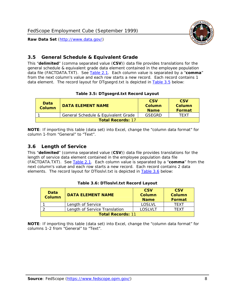

<span id="page-8-0"></span>

This "**delimited**" (comma separated value (**CSV**)) data file provides translations for the general schedule & equivalent grade data element contained in the employee population data file (FACTDATA.TXT). See [Table 2.1](#page-4-1). Each column value is separated by a "**comma**" from the next column's value and each row starts a new record. Each record contains 1 data element. The record layout for DTgsegrd.txt is depicted in [Table 3.5](#page-8-4) below:

#### **Table 3.5: DTgsegrd.txt Record Layout**

<span id="page-8-4"></span><span id="page-8-2"></span>

| Data<br>Column           | <b>DATA ELEMENT NAME</b>            | <b>CSV</b><br>Column<br><b>Name</b> | <b>CSV</b><br>Column<br><b>Format</b> |
|--------------------------|-------------------------------------|-------------------------------------|---------------------------------------|
|                          | General Schedule & Equivalent Grade | GSFGRD                              | <b>TFXT</b>                           |
| <b>Total Records: 17</b> |                                     |                                     |                                       |

**NOTE**: If importing this table (data set) into Excel, change the "column data format" for column 1-from "General" to "Text".

#### <span id="page-8-1"></span>*3.6 Length of Service*

<span id="page-8-5"></span><span id="page-8-3"></span>This "**delimited**" (comma separated value (**CSV**)) data file provides translations for the length of service data element contained in the employee population data file (FACTDATA.TXT). See [Table 2.1](#page-4-1). Each column value is separated by a "**comma**" from the next column's value and each row starts a new record. Each record contains 2 data elements. The record layout for DTloslvl.txt is depicted in [Table 3.6](#page-8-5) below:

| Data<br><b>Column</b>    | <b>DATA ELEMENT NAME</b>      | <b>CSV</b><br><b>Column</b><br><b>Name</b> | <b>CSV</b><br>Column<br>Format |
|--------------------------|-------------------------------|--------------------------------------------|--------------------------------|
|                          | Length of Service             | LOSLVL                                     | TFXT                           |
|                          | Length of Service Translation | LOSI VLT                                   | TFXT                           |
| <b>Total Records: 11</b> |                               |                                            |                                |

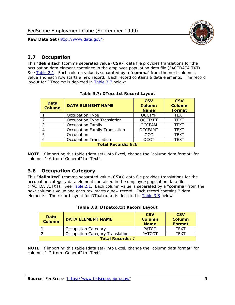

#### <span id="page-9-0"></span>*3.7 Occupation*

<span id="page-9-4"></span>This "**delimited**" (comma separated value (**CSV**)) data file provides translations for the occupation data element contained in the employee population data file (FACTDATA.TXT). See [Table 2.1](#page-4-1). Each column value is separated by a "**comma**" from the next column's value and each row starts a new record. Each record contains 6 data elements. The record layout for DTocc.txt is depicted in [Table 3.7](#page-9-4) below:

<span id="page-9-2"></span>

| Data<br><b>Column</b>     | <b>DATA ELEMENT NAME</b>             | <b>CSV</b><br>Column<br><b>Name</b> | <b>CSV</b><br>Column<br><b>Format</b> |
|---------------------------|--------------------------------------|-------------------------------------|---------------------------------------|
|                           | Occupation Type                      | <b>OCCTYP</b>                       | <b>TEXT</b>                           |
|                           | Occupation Type Translation          | <b>OCCTYPT</b>                      | <b>TEXT</b>                           |
| 3                         | <b>Occupation Family</b>             | <b>OCCFAM</b>                       | <b>TEXT</b>                           |
|                           | <b>Occupation Family Translation</b> | <b>OCCFAMT</b>                      | <b>TEXT</b>                           |
| 5                         | Occupation                           | <b>OCC</b>                          | <b>TEXT</b>                           |
|                           | <b>Occupation Translation</b>        | <b>OCCT</b>                         | <b>TEXT</b>                           |
| <b>Total Records: 826</b> |                                      |                                     |                                       |

#### **Table 3.7: DTocc.txt Record Layout**

**NOTE**: If importing this table (data set) into Excel, change the "column data format" for columns 1-6 from "General" to "Text".

#### <span id="page-9-1"></span>*3.8 Occupation Category*

<span id="page-9-5"></span>This "**delimited**" (comma separated value (**CSV**)) data file provides translations for the occupation category data element contained in the employee population data file (FACTDATA.TXT). See [Table 2.1](#page-4-1). Each column value is separated by a "**comma**" from the next column's value and each row starts a new record. Each record contains 2 data elements. The record layout for DTpatco.txt is depicted in [Table 3.8](#page-9-5) below:

<span id="page-9-3"></span>

| Data<br><b>Column</b>   | <b>DATA ELEMENT NAME</b>        | <b>CSV</b><br>Column<br><b>Name</b> | <b>CSV</b><br>Column<br>Format |
|-------------------------|---------------------------------|-------------------------------------|--------------------------------|
|                         | <b>Occupation Category</b>      | <b>PATCO</b>                        | <b>TFXT</b>                    |
|                         | Occupation Category Translation | <b>PATCOT</b>                       | TFXT                           |
| <b>Total Records: 7</b> |                                 |                                     |                                |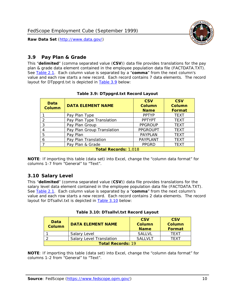

### <span id="page-10-0"></span>*3.9 Pay Plan & Grade*

<span id="page-10-4"></span>This "**delimited**" (comma separated value (**CSV**)) data file provides translations for the pay plan & grade data element contained in the employee population data file (FACTDATA.TXT). See [Table 2.1](#page-4-1). Each column value is separated by a "**comma**" from the next column's value and each row starts a new record. Each record contains 7 data elements. The record layout for DTppgrd.txt is depicted in **Table 3.9** below:

<span id="page-10-2"></span>

| Data<br><b>Column</b>       | <b>DATA ELEMENT NAME</b>   | <b>CSV</b><br>Column<br><b>Name</b> | <b>CSV</b><br>Column<br><b>Format</b> |  |
|-----------------------------|----------------------------|-------------------------------------|---------------------------------------|--|
|                             | Pay Plan Type              | <b>PPTYP</b>                        | <b>TEXT</b>                           |  |
| $\mathcal{P}$               | Pay Plan Type Translation  | <b>PPTYPT</b>                       | <b>TEXT</b>                           |  |
| 3                           | Pay Plan Group             | <b>PPGROUP</b>                      | <b>TEXT</b>                           |  |
|                             | Pay Plan Group Translation | <b>PPGROUPT</b>                     | <b>TEXT</b>                           |  |
| 5                           | Pay Plan                   | <b>PAYPLAN</b>                      | <b>TEXT</b>                           |  |
| 6                           | Pay Plan Translation       | PAYPLANT                            | <b>TEXT</b>                           |  |
|                             | Pay Plan & Grade           | <b>PPGRD</b>                        | <b>TEXT</b>                           |  |
| <b>Total Records: 1,018</b> |                            |                                     |                                       |  |

#### **Table 3.9: DTppgrd.txt Record Layout**

**NOTE**: If importing this table (data set) into Excel, change the "column data format" for columns 1-7 from "General" to "Text".

## <span id="page-10-1"></span>*3.10 Salary Level*

<span id="page-10-5"></span><span id="page-10-3"></span>This "**delimited**" (comma separated value (**CSV**)) data file provides translations for the salary level data element contained in the employee population data file (FACTDATA.TXT). See [Table 2.1](#page-4-1). Each column value is separated by a "**comma**" from the next column's value and each row starts a new record. Each record contains 2 data elements. The record layout for DTsallvl.txt is depicted in [Table 3.10](#page-10-5) below:

| <b>Data</b><br>Column    | <b>DATA ELEMENT NAME</b>        | <b>CSV</b><br>Column<br><b>Name</b> | <b>CSV</b><br>Column<br><b>Format</b> |  |
|--------------------------|---------------------------------|-------------------------------------|---------------------------------------|--|
|                          | Salary Level                    | <b>SALLVL</b>                       | TFXT                                  |  |
|                          | <b>Salary Level Translation</b> | SAI I VI T                          | TEXT                                  |  |
| <b>Total Records: 19</b> |                                 |                                     |                                       |  |

| Table 3.10: DTsallvl.txt Record Layout |  |
|----------------------------------------|--|
|----------------------------------------|--|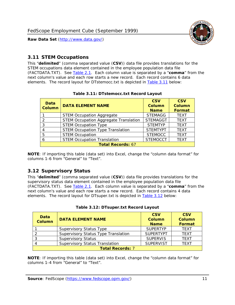

### <span id="page-11-0"></span>*3.11 STEM Occupations*

<span id="page-11-4"></span>This "**delimited**" (comma separated value (**CSV**)) data file provides translations for the STEM occupations data element contained in the employee population data file (FACTDATA.TXT). See [Table 2.1](#page-4-1). Each column value is separated by a "**comma**" from the next column's value and each row starts a new record. Each record contains 6 data elements. The record layout for DTstemocc.txt is depicted in [Table 3.11](#page-11-4) below:

<span id="page-11-2"></span>

| <b>Data</b><br><b>Column</b> | <b>DATA ELEMENT NAME</b>                     | <b>CSV</b><br><b>Column</b><br><b>Name</b> | <b>CSV</b><br><b>Column</b><br>Format |  |
|------------------------------|----------------------------------------------|--------------------------------------------|---------------------------------------|--|
|                              | <b>STEM Occupation Aggregate</b>             | <b>STEMAGG</b>                             | <b>TEXT</b>                           |  |
|                              | <b>STEM Occupation Aggregate Translation</b> | <b>STEMAGGT</b>                            | <b>TEXT</b>                           |  |
| 3                            | <b>STEM Occupation Type</b>                  | <b>STEMTYP</b>                             | <b>TFXT</b>                           |  |
|                              | <b>STEM Occupation Type Translation</b>      | <b>STEMTYPT</b>                            | <b>TEXT</b>                           |  |
| 5                            | <b>STEM Occupation</b>                       | <b>STEMOCC</b>                             | <b>TEXT</b>                           |  |
|                              | <b>STEM Occupation Translation</b>           | <b>STEMOCCT</b>                            | <b>TEXT</b>                           |  |
| <b>Total Records: 67</b>     |                                              |                                            |                                       |  |

#### **Table 3.11: DTstemocc.txt Record Layout**

**NOTE**: If importing this table (data set) into Excel, change the "column data format" for columns 1-6 from "General" to "Text".

# <span id="page-11-1"></span>*3.12 Supervisory Status*

This "**delimited**" (comma separated value (**CSV**)) data file provides translations for the supervisory status data element contained in the employee population data file (FACTDATA.TXT). See [Table 2.1](#page-4-1). Each column value is separated by a "**comma**" from the next column's value and each row starts a new record. Each record contains 4 data elements. The record layout for DTsuper.txt is depicted in [Table 3.12](#page-11-5) below:

<span id="page-11-5"></span><span id="page-11-3"></span>

| Data<br><b>Column</b>   | <b>DATA ELEMENT NAME</b>              | <b>CSV</b><br><b>Column</b><br><b>Name</b> | <b>CSV</b><br><b>Column</b><br><b>Format</b> |  |
|-------------------------|---------------------------------------|--------------------------------------------|----------------------------------------------|--|
|                         | <b>Supervisory Status Type</b>        | <b>SUPERTYP</b>                            | <b>TEXT</b>                                  |  |
|                         | Supervisory Status Type Translation   | <b>SUPERTYPT</b>                           | <b>TEXT</b>                                  |  |
|                         | <b>Supervisory Status</b>             | <b>SUPERVIS</b>                            | <b>TEXT</b>                                  |  |
|                         | <b>Supervisory Status Translation</b> | <b>SUPERVIST</b>                           | <b>TEXT</b>                                  |  |
| <b>Total Records: 7</b> |                                       |                                            |                                              |  |

|  | Table 3.12: DTsuper.txt Record Layout |  |
|--|---------------------------------------|--|
|--|---------------------------------------|--|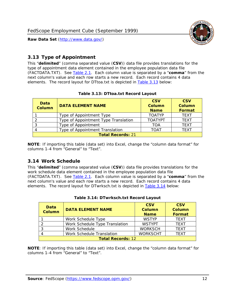

### <span id="page-12-0"></span>*3.13 Type of Appointment*

This "**delimited**" (comma separated value (**CSV**)) data file provides translations for the type of appointment data element contained in the employee population data file (FACTDATA.TXT). See [Table 2.1](#page-4-1). Each column value is separated by a "**comma**" from the next column's value and each row starts a new record. Each record contains 4 data elements. The record layout for DTtoa.txt is depicted in [Table 3.13](#page-12-4) below:

<span id="page-12-4"></span><span id="page-12-2"></span>

| Data<br>Column           | <b>DATA ELEMENT NAME</b>             | <b>CSV</b><br><b>Column</b><br><b>Name</b> | <b>CSV</b><br><b>Column</b><br><b>Format</b> |  |
|--------------------------|--------------------------------------|--------------------------------------------|----------------------------------------------|--|
|                          | Type of Appointment Type             | <b>TOATYP</b>                              | <b>TEXT</b>                                  |  |
|                          | Type of Appointment Type Translation | <b>TOATYPT</b>                             | <b>TEXT</b>                                  |  |
|                          | Type of Appointment                  | TOA                                        | <b>TEXT</b>                                  |  |
|                          | Type of Appointment Translation      | TOAT                                       | <b>TFXT</b>                                  |  |
| <b>Total Records: 21</b> |                                      |                                            |                                              |  |

#### **Table 3.13: DTtoa.txt Record Layout**

**NOTE**: If importing this table (data set) into Excel, change the "column data format" for columns 1-4 from "General" to "Text".

#### <span id="page-12-1"></span>*3.14 Work Schedule*

<span id="page-12-5"></span>This "**delimited**" (comma separated value (**CSV**)) data file provides translations for the work schedule data element contained in the employee population data file (FACTDATA.TXT). See [Table 2.1](#page-4-1). Each column value is separated by a "**comma**" from the next column's value and each row starts a new record. Each record contains 4 data elements. The record layout for DTwrksch.txt is depicted in [Table 3.14](#page-12-5) below:

<span id="page-12-3"></span>

| Data<br>Column           | <b>DATA ELEMENT NAME</b>       | <b>CSV</b><br><b>Column</b><br><b>Name</b> | <b>CSV</b><br>Column<br>Format |  |
|--------------------------|--------------------------------|--------------------------------------------|--------------------------------|--|
|                          | Work Schedule Type             | <b>WSTYP</b>                               | <b>TEXT</b>                    |  |
| 2                        | Work Schedule Type Translation | <b>WSTYPT</b>                              | <b>TFXT</b>                    |  |
| 3                        | Work Schedule                  | <b>WORKSCH</b>                             | <b>TFXT</b>                    |  |
|                          | Work Schedule Translation      | <b>WORKSCHT</b>                            | <b>TFXT</b>                    |  |
| <b>Total Records: 12</b> |                                |                                            |                                |  |

|  | Table 3.14: DTwrksch.txt Record Layout |  |  |
|--|----------------------------------------|--|--|
|  |                                        |  |  |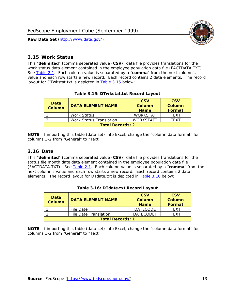

#### <span id="page-13-0"></span>*3.15 Work Status*

<span id="page-13-4"></span><span id="page-13-2"></span>This "**delimited**" (comma separated value (**CSV**)) data file provides translations for the work status data element contained in the employee population data file (FACTDATA.TXT). See [Table 2.1](#page-4-1). Each column value is separated by a "**comma**" from the next column's value and each row starts a new record. Each record contains 2 data elements. The record layout for DTwkstat.txt is depicted in [Table 3.15](#page-13-4) below:

| Data<br><b>Column</b>   | <b>DATA ELEMENT NAME</b>       | <b>CSV</b><br>Column<br><b>Name</b> | <b>CSV</b><br>Column<br><b>Format</b> |
|-------------------------|--------------------------------|-------------------------------------|---------------------------------------|
|                         | <b>Work Status</b>             | <b>WORKSTAT</b>                     | TFXT                                  |
|                         | <b>Work Status Translation</b> | <b>WORKSTATT</b>                    | TFXT                                  |
| <b>Total Records: 2</b> |                                |                                     |                                       |

#### **Table 3.15: DTwkstat.txt Record Layout**

**NOTE**: If importing this table (data set) into Excel, change the "column data format" for columns 1-2 from "General" to "Text".

#### <span id="page-13-1"></span>*3.16 Date*

<span id="page-13-5"></span><span id="page-13-3"></span>This "**delimited**" (comma separated value (**CSV**)) data file provides translations for the status file month date data element contained in the employee population data file (FACTDATA.TXT). See [Table 2.1](#page-4-1). Each column value is separated by a "**comma**" from the next column's value and each row starts a new record. Each record contains 2 data elements. The record layout for DTdate.txt is depicted in [Table 3.16](#page-13-5) below:

| Data<br><b>Column</b>   | <b>DATA ELEMENT NAME</b> | <b>CSV</b><br>Column<br><b>Name</b> | <b>CSV</b><br>Column<br><b>Format</b> |  |
|-------------------------|--------------------------|-------------------------------------|---------------------------------------|--|
|                         | File Date                | <b>DATECODE</b>                     | TFXT                                  |  |
|                         | File Date Translation    | <b>DATECODET</b>                    | TFXT                                  |  |
| <b>Total Records: 1</b> |                          |                                     |                                       |  |

**Table 3.16: DTdate.txt Record Layout**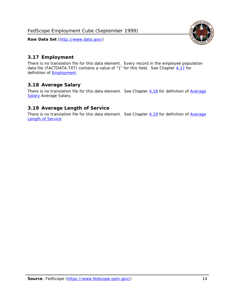<span id="page-14-0"></span>

There is no translation file for this data element. Every record in the employee population data file (FACTDATA.TXT) contains a value of "1" for this field. See Chapter [4.17](#page-16-8) for definition of **Employment**.

## <span id="page-14-1"></span>*3.18 Average Salary*

There is no translation file for this data element. See Chapter [4.18](#page-17-1) for definition of [Average](#page-17-1) **[Salary](#page-17-1) [Average Salary.](#page-17-1)** 

### <span id="page-14-2"></span>*3.19 Average Length of Service*

There is no translation file for this data element. See Chapter [4.19](#page-17-2) for definition of [Average](#page-17-2) Length of Service

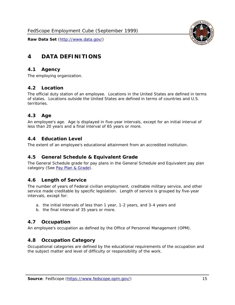

# <span id="page-15-0"></span>**4 DATA DEFINITIONS**

#### <span id="page-15-1"></span>*4.1 Agency*

The employing organization.

#### <span id="page-15-2"></span>*4.2 Location*

The official duty station of an employee. Locations in the United States are defined in terms of states. Locations outside the United States are defined in terms of countries and U.S. territories.

#### <span id="page-15-3"></span>*4.3 Age*

An employee's age. Age is displayed in five-year intervals, except for an initial interval of less than 20 years and a final interval of 65 years or more.

#### <span id="page-15-4"></span>*4.4 Education Level*

The extent of an employee's educational attainment from an accredited institution.

#### <span id="page-15-5"></span>*4.5 General Schedule & Equivalent Grade*

The General Schedule grade for pay plans in the General Schedule and Equivalent pay plan category (See [Pay Plan & Grade](#page-16-0)).

#### <span id="page-15-6"></span>*4.6 Length of Service*

The number of years of Federal civilian employment, creditable military service, and other service made creditable by specific legislation. Length of service is grouped by five-year intervals, except for:

- a. the initial intervals of less than 1 year, 1-2 years, and 3-4 years and
- b. the final interval of 35 years or more.

#### <span id="page-15-7"></span>*4.7 Occupation*

An employee's occupation as defined by the Office of Personnel Management (OPM).

#### <span id="page-15-8"></span>*4.8 Occupation Category*

Occupational categories are defined by the educational requirements of the occupation and the subject matter and level of difficulty or responsibility of the work.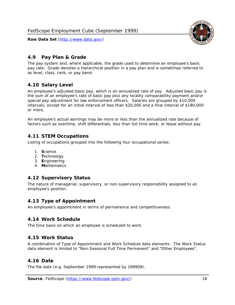<span id="page-16-0"></span>

The pay system and, where applicable, the grade used to determine an employee's basic pay rate. Grade denotes a hierarchical position in a pay plan and is sometimes referred to as level, class, rank, or pay band.

# <span id="page-16-1"></span>*4.10 Salary Level*

An employee's adjusted basic pay, which is an annualized rate of pay. Adjusted basic pay is the sum of an employee's rate of basic pay plus any locality comparability payment and/or special pay adjustment for law enforcement officers. Salaries are grouped by \$10,000 intervals, except for an initial interval of less than \$20,000 and a final interval of \$180,000 or more.

An employee's actual earnings may be more or less than the annualized rate because of factors such as overtime, shift differentials, less than full time work, or leave without pay.

## <span id="page-16-2"></span>*4.11 STEM Occupations*

Listing of occupations grouped into the following four occupational series:

- 1. **S**cience
- 2. **T**echnology
- 3. **E**ngineering
- 4. **M**athematics

#### <span id="page-16-3"></span>*4.12 Supervisory Status*

The nature of managerial, supervisory, or non-supervisory responsibility assigned to an employee's position.

#### <span id="page-16-4"></span>*4.13 Type of Appointment*

An employee's appointment in terms of permanence and competitiveness.

#### <span id="page-16-5"></span>*4.14 Work Schedule*

The time basis on which an employee is scheduled to work.

#### <span id="page-16-6"></span>*4.15 Work Status*

A combination of Type of Appointment and Work Schedule data elements. The Work Status data element is limited to "Non-Seasonal Full Time Permanent" and "Other Employees".

#### <span id="page-16-7"></span>*4.16 Date*

<span id="page-16-8"></span>The file date (e.g. September 1999 represented by 199909).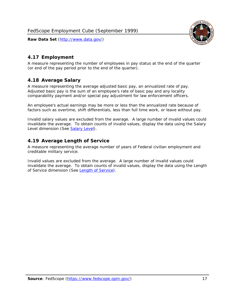

### <span id="page-17-0"></span>*4.17 Employment*

A measure representing the number of employees in pay status at the end of the quarter (or end of the pay period prior to the end of the quarter).

### <span id="page-17-1"></span>*4.18 Average Salary*

A measure representing the average adjusted basic pay, an annualized rate of pay. Adjusted basic pay is the sum of an employee's rate of basic pay and any locality comparability payment and/or special pay adjustment for law enforcement officers.

An employee's actual earnings may be more or less than the annualized rate because of factors such as overtime, shift differentials, less than full time work, or leave without pay.

Invalid salary values are excluded from the average. A large number of invalid values could invalidate the average. To obtain counts of invalid values, display the data using the Salary Level dimension (See [Salary Level\)](#page-16-1).

### <span id="page-17-2"></span>*4.19 Average Length of Service*

A measure representing the average number of years of Federal civilian employment and creditable military service.

Invalid values are excluded from the average. A large number of invalid values could invalidate the average. To obtain counts of invalid values, display the data using the Length of Service dimension (See [Length of Service](#page-15-6)).